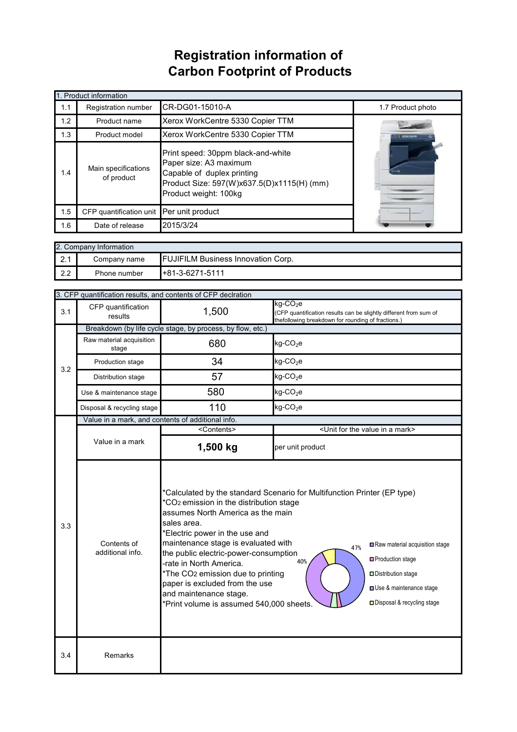## **Registration information of Carbon Footprint of Products**

| 1. Product information |                                                                                                                                                                                                        |                                  |                   |  |
|------------------------|--------------------------------------------------------------------------------------------------------------------------------------------------------------------------------------------------------|----------------------------------|-------------------|--|
| 1.1                    | Registration number                                                                                                                                                                                    | CR-DG01-15010-A                  | 1.7 Product photo |  |
| 1.2                    | Product name                                                                                                                                                                                           | Xerox WorkCentre 5330 Copier TTM |                   |  |
| 1.3                    | Product model                                                                                                                                                                                          | Xerox WorkCentre 5330 Copier TTM |                   |  |
| 1.4                    | Print speed: 30ppm black-and-white<br>Paper size: A3 maximum<br>Main specifications<br>Capable of duplex printing<br>of product<br>Product Size: 597(W)x637.5(D)x1115(H) (mm)<br>Product weight: 100kg |                                  |                   |  |
| 1.5                    | CFP quantification unit                                                                                                                                                                                | Per unit product                 |                   |  |
| 1.6                    | Date of release                                                                                                                                                                                        | 2015/3/24                        |                   |  |

| 2. Company Information |              |                                           |  |  |  |
|------------------------|--------------|-------------------------------------------|--|--|--|
| ົດ 4<br>$\mathbf{z}$ . | Company name | <b>FUJIFILM Business Innovation Corp.</b> |  |  |  |
| 2.2                    | Phone number | $+81-3-6271-5111$                         |  |  |  |

|                                        | 3. CFP quantification results, and contents of CFP declration |                                                                                                                                                                                                                                                                                                                                                                                                  |                                                                                                                                                                                                                                        |  |  |
|----------------------------------------|---------------------------------------------------------------|--------------------------------------------------------------------------------------------------------------------------------------------------------------------------------------------------------------------------------------------------------------------------------------------------------------------------------------------------------------------------------------------------|----------------------------------------------------------------------------------------------------------------------------------------------------------------------------------------------------------------------------------------|--|--|
| 3.1                                    | CFP quantification<br>results                                 | 1,500                                                                                                                                                                                                                                                                                                                                                                                            | $kg$ -CO <sub>2</sub> e<br>(CFP quantification results can be slightly different from sum of<br>thefollowing breakdown for rounding of fractions.)                                                                                     |  |  |
|                                        |                                                               | Breakdown (by life cycle stage, by process, by flow, etc.)                                                                                                                                                                                                                                                                                                                                       |                                                                                                                                                                                                                                        |  |  |
| 3.2                                    | Raw material acquisition<br>stage                             | 680                                                                                                                                                                                                                                                                                                                                                                                              | $kg$ -CO <sub>2</sub> e                                                                                                                                                                                                                |  |  |
|                                        | Production stage                                              | 34                                                                                                                                                                                                                                                                                                                                                                                               | $kg$ -CO <sub>2</sub> e                                                                                                                                                                                                                |  |  |
|                                        | Distribution stage                                            | 57                                                                                                                                                                                                                                                                                                                                                                                               | $kg$ -CO <sub>2</sub> e                                                                                                                                                                                                                |  |  |
|                                        | Use & maintenance stage                                       | 580                                                                                                                                                                                                                                                                                                                                                                                              | $kg$ -CO <sub>2</sub> e                                                                                                                                                                                                                |  |  |
|                                        | Disposal & recycling stage                                    | 110                                                                                                                                                                                                                                                                                                                                                                                              | $kg$ -CO <sub>2</sub> e                                                                                                                                                                                                                |  |  |
|                                        | Value in a mark, and contents of additional info.             |                                                                                                                                                                                                                                                                                                                                                                                                  |                                                                                                                                                                                                                                        |  |  |
|                                        |                                                               | <contents></contents>                                                                                                                                                                                                                                                                                                                                                                            | <unit a="" for="" in="" mark="" the="" value=""></unit>                                                                                                                                                                                |  |  |
|                                        | Value in a mark                                               | 1,500 kg                                                                                                                                                                                                                                                                                                                                                                                         | per unit product                                                                                                                                                                                                                       |  |  |
| 3.3<br>Contents of<br>additional info. |                                                               | CO <sub>2</sub> emission in the distribution stage<br>assumes North America as the main<br>sales area.<br>*Electric power in the use and<br>maintenance stage is evaluated with<br>the public electric-power-consumption<br>-rate in North America.<br>*The CO2 emission due to printing<br>paper is excluded from the use<br>and maintenance stage.<br>*Print volume is assumed 540,000 sheets. | 'Calculated by the standard Scenario for Multifunction Printer (EP type)<br>Raw material acquisition stage<br>47%<br><b>□</b> Production stage<br>40%<br>Distribution stage<br>Use & maintenance stage<br>□ Disposal & recycling stage |  |  |
| 3.4                                    | Remarks                                                       |                                                                                                                                                                                                                                                                                                                                                                                                  |                                                                                                                                                                                                                                        |  |  |